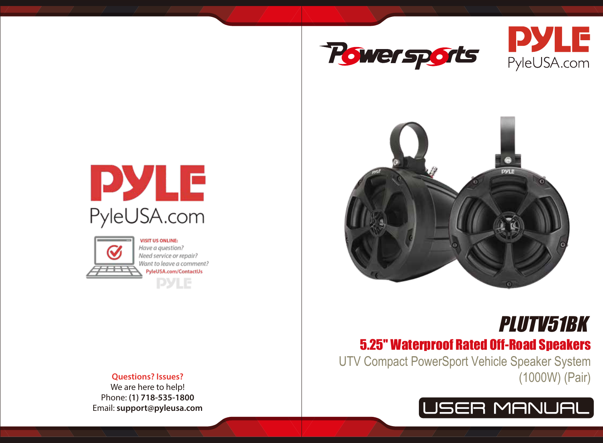







# 5.25'' Waterproof Rated Off-Road Speakers PLUTV51BK

UTV Compact PowerSport Vehicle Speaker System (1000W) (Pair)







Have a auestion? Need service or repair? Want to leave a comment? PyleUSA.com/ContactUs **PYLE** 

## **Questions? Issues?**

We are here to help! Phone: **(1) 718-535-1800** Email: **support@pyleusa.com**